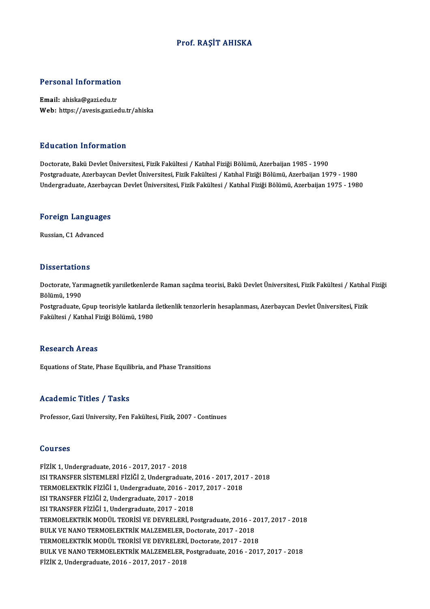## Prof. RAŞİT AHISKA

### Personal Information

Email: ahiska@gazi.edu.tr Web: https://avesis.gazi.edu.tr/ahiska

### Education Information

Doctorate, Bakü Devlet Üniversitesi, Fizik Fakültesi / Katıhal Fiziği Bölümü, Azerbaijan 1985 - 1990 Postgraduate, Azerbaycan Devlet Üniversitesi, Fizik Fakültesi / Katıhal Fiziği Bölümü, Azerbaijan 1979 - 1980 Undergraduate, Azerbaycan Devlet Üniversitesi, Fizik Fakültesi / Katıhal Fiziği Bölümü, Azerbaijan 1975 - 1980

# <sub>ondergraduate, Azerbayd</sub><br>Foreign Languages <mark>Foreign Language</mark><br>Russian, C1 Advanced

Russian, C1 Advanced<br>Dissertations

Dissertations<br>Doctorate, Yarımagnetik yarıiletkenlerde Raman saçılma teorisi, Bakü Devlet Üniversitesi, Fizik Fakültesi / Katıhal Fiziği<br>Rölümü 1990 Bölümü, Yarı<br>Bölümü, 1990<br>Bostaraduata Doctorate, Yarımagnetik yarıiletkenlerde Raman saçılma teorisi, Bakü Devlet Üniversitesi, Fizik Fakültesi / Katıhal<br>Bölümü, 1990<br>Postgraduate, Gpup teorisiyle katılarda iletkenlik tenzorlerin hesaplanması, Azerbaycan Devle

Bölümü, 1990<br>Postgraduate, Gpup teorisiyle katılarda iletkenlik tenzorlerin hesaplanması, Azerbaycan Devlet Üniversitesi, Fizik<br>Fakültesi / Katıhal Fiziği Bölümü, 1980

### **Research Areas**

Equations of State, Phase Equilibria, and Phase Transitions

### Academic Titles / Tasks

Professor, Gazi University, Fen Fakültesi, Fizik, 2007 - Continues

### Courses

FİZİK1,Undergraduate,2016 -2017,2017 -2018 SSQ1988<br>FİZİK 1, Undergraduate, 2016 - 2017, 2017 - 2018<br>ISI TRANSFER SİSTEMLERİ FİZİĞİ 2, Undergraduate, 2016 - 2017, 2017 - 2018<br>TERMOELEKTRİK FİZİĞİ 1, Undergraduate, 2016 - 2017, 2017, 2019 FİZİK 1, Undergraduate, 2016 - 2017, 2017 - 2018<br>ISI TRANSFER SİSTEMLERİ FİZİĞİ 2, Undergraduate, 2016 - 2017, 201<br>TERMOELEKTRİK FİZİĞİ 1, Undergraduate, 2016 - 2017, 2017 - 2018<br>ISI TRANSEER FİZİĞİ 2, Undergraduate, 2017, ISI TRANSFER SİSTEMLERİ FİZİĞİ 2, Undergraduate,<br>TERMOELEKTRİK FİZİĞİ 1, Undergraduate, 2016 - 20<br>ISI TRANSFER FİZİĞİ 2, Undergraduate, 2017 - 2018<br>ISI TRANSFER FİZİĞİ 1, Undergraduate, 2017 - 2019 TERMOELEKTRİK FİZİĞİ 1, Undergraduate, 2016 - 20<br>ISI TRANSFER FİZİĞİ 2, Undergraduate, 2017 - 2018<br>ISI TRANSFER FİZİĞİ 1, Undergraduate, 2017 - 2018<br>TERMOELEKTRİK MODÜL TEORİSİ VE DEVRELERİ, B. ISI TRANSFER FİZİĞİ 2, Undergraduate, 2017 - 2018<br>ISI TRANSFER FİZİĞİ 1, Undergraduate, 2017 - 2018<br>TERMOELEKTRİK MODÜL TEORİSİ VE DEVRELERİ, Postgraduate, 2016 - 2017, 2017 - 2018<br>BULK VE NANO TERMOELEKTRİK MALZEMELER DOS ISI TRANSFER FİZİĞİ 1, Undergraduate, 2017 - 2018<br>TERMOELEKTRİK MODÜL TEORİSİ VE DEVRELERİ, Postgraduate, 2016 - 2<br>BULK VE NANO TERMOELEKTRİK MALZEMELER, Doctorate, 2017 - 2018<br>TERMOELEKTRİK MODÜL TEORİSİ VE DEVRELERİ, Doc BULK VE NANO TERMOELEKTRİK MALZEMELER, Doctorate, 2017 - 2018<br>TERMOELEKTRİK MODÜL TEORİSİ VE DEVRELERİ, Doctorate, 2017 - 2018 BULK VE NANO TERMOELEKTRİK MALZEMELER, Doctorate, 2017 - 2018<br>TERMOELEKTRİK MODÜL TEORİSİ VE DEVRELERİ, Doctorate, 2017 - 2018<br>BULK VE NANO TERMOELEKTRİK MALZEMELER, Postgraduate, 2016 - 2017, 2017 - 2018<br>FİZİK 2. Undergra TERMOELEKTRİK MODÜL TEORİSİ VE DEVRELERİ<br>BULK VE NANO TERMOELEKTRİK MALZEMELER,<br>FİZİK 2, Undergraduate, 2016 - 2017, 2017 - 2018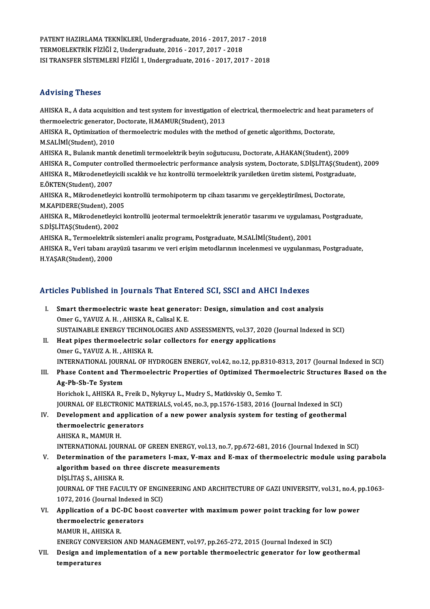PATENT HAZIRLAMA TEKNİKLERİ, Undergraduate, 2016 - 2017, 2017 - 2018<br>TERMOELEKTRİK FİZİĞİ 2. Undergraduate, 2016 - 2017, 2017, 2019 PATENT HAZIRLAMA TEKNİKLERİ, Undergraduate, 2016 - 2017, 2017<br>TERMOELEKTRİK FİZİĞİ 2, Undergraduate, 2016 - 2017, 2017 - 2018<br>ISLEP ANSEER SİSTEMLERİ FİZİĞİ 1, Undergraduata, 2016 - 2017, 201 PATENT HAZIRLAMA TEKNİKLERİ, Undergraduate, 2016 - 2017, 2017 - 2018<br>TERMOELEKTRİK FİZİĞİ 2, Undergraduate, 2016 - 2017, 2017 - 2018<br>ISI TRANSFER SİSTEMLERİ FİZİĞİ 1, Undergraduate, 2016 - 2017, 2017 - 2018 ISI TRANSFER SISTEMLERI FIZIĞI 1, Undergraduate, 2016 - 2017, 2017 - 2018<br>Advising Theses

Advising Theses<br>AHISKA R., A data acquisition and test system for investigation of electrical, thermoelectric and heat parameters of<br>thermoelectric generator, Decterate, H MAMIR(Student), 2012 111 - 1911 B.<br>1918 - AHISKA R., A data acquisition and test system for investigation of<br>1918 - AHISKA R. Optimization of thermoelectric modules with the motion of the motion of thermoelectric modules with the motion AHISKA R., A data acquisition and test system for investigation of electrical, thermoelectric and heat p<br>thermoelectric generator, Doctorate, H.MAMUR(Student), 2013<br>AHISKA R., Optimization of thermoelectric modules with th thermoelectric generator, Doctorate, H.MAMUR(Student), 2013<br>AHISKA R., Optimization of thermoelectric modules with the method of genetic algorithms, Doctorate,<br>M.SALİMİ(Student), 2010 AHISKA R., Optimization of thermoelectric modules with the method of genetic algorithms, Doctorate,<br>M.SALİMİ(Student), 2010<br>AHISKA R., Bulanık mantık denetimli termoelektrik beyin soğutucusu, Doctorate, A.HAKAN(Student), 2 M.SALİMİ(Student), 2010<br>AHISKA R., Bulanık mantık denetimli termoelektrik beyin soğutucusu, Doctorate, A.HAKAN(Student), 2009<br>AHISKA R., Computer controlled thermoelectric performance analysis system, Doctorate, S.DİŞLİTAŞ AHISKA R., Bulanık mantık denetimli termoelektrik beyin soğutucusu, Doctorate, A.HAKAN(Student), 2009<br>AHISKA R., Computer controlled thermoelectric performance analysis system, Doctorate, S.DİŞLİTAŞ(Student<br>AHISKA R., Mikr AHISKA R., Computer con<br>AHISKA R., Mikrodenetley<br>E.ÖKTEN(Student), 2007<br>AHISKA R. Milrodenetley AHISKA R., Mikrodenetleyicili sıcaklık ve hız kontrollü termoelektrik yarıiletken üretim sistemi, Postgradu<br>E.ÖKTEN(Student), 2007<br>AHISKA R., Mikrodenetleyici kontrollü termohipoterm tıp cihazı tasarımı ve gerçekleştirilme E.ÖKTEN(Student), 2007<br>AHISKA R., Mikrodenetleyici kontrollü termohipoterm tıp cihazı tasarımı ve gerçekleştirilmesi, Doctorate,<br>M.KAPIDERE(Student), 2005 AHISKA R., Mikrodenetleyici kontrollü termohipoterm tıp cihazı tasarımı ve gerçekleştirilmesi, Doctorate,<br>M.KAPIDERE(Student), 2005<br>AHISKA R., Mikrodenetleyici kontrollü jeotermal termoelektrik jeneratör tasarımı ve uygula M.KAPIDERE(Student), 200<br>AHISKA R., Mikrodenetleyici<br>S.DİŞLİTAŞ(Student), 2002<br>AHISKA B., Termoalektrik si AHISKA R., Mikrodenetleyici kontrollü jeotermal termoelektrik jeneratör tasarımı ve uygulama<br>S.DİŞLİTAŞ(Student), 2002<br>AHISKA R., Termoelektrik sistemleri analiz programı, Postgraduate, M.SALİMİ(Student), 2001<br>AHISKA B. Ve S.DİŞLİTAŞ(Student), 2002<br>AHISKA R., Termoelektrik sistemleri analiz programı, Postgraduate, M.SALİMİ(Student), 2001<br>AHISKA R., Veri tabanı arayüzü tasarımı ve veri erişim metodlarının incelenmesi ve uygulanması, Postgradu AHISKA R., Termoelektrik sistemleri analiz programı, Postgraduate, M.SALİMİ(Student), 2001

# Articles Published in Journals That Entered SCI, SSCI and AHCI Indexes

- rticles Published in Journals That Entered SCI, SSCI and AHCI Indexes<br>I. Smart thermoelectric waste heat generator: Design, simulation and cost analysis<br>Omer C. YAWIZ A.H., AWISKA B. Coligal K.E. I. Smart thermoelectric waste heat generator: Design, simulation and cost analysis Omer G., YAVUZ A. H., AHISKA R., Calisal K. E. Smart thermoelectric waste heat generator: Design, simulation and cost analysis<br>Omer G., YAVUZ A. H. , AHISKA R., Calisal K. E.<br>SUSTAINABLE ENERGY TECHNOLOGIES AND ASSESSMENTS, vol.37, 2020 (Journal Indexed in SCI)<br>Heat ni
- II. Heat pipes thermoelectric solar collectors for energy applications<br>Omer G., YAVUZ A. H., AHISKA R. SUSTAINABLE ENERGY TECHNOL<br>Heat pipes thermoelectric sol<br>Omer G., YAVUZ A. H. , AHISKA R.<br>INTERNATIONAL JOURNAL OF HY INTERNATIONAL JOURNAL OF HYDROGEN ENERGY, vol.42, no.12, pp.8310-8313, 2017 (Journal Indexed in SCI)
- Omer G., YAVUZ A. H. , AHISKA R.<br>INTERNATIONAL JOURNAL OF HYDROGEN ENERGY, vol.42, no.12, pp.8310-8313, 2017 (Journal Indexed in SCI)<br>III. Phase Content and Thermoelectric Properties of Optimized Thermoelectric Structures **INTERNATIONAL JOURN<br>Phase Content and T<br>Ag-Pb-Sb-Te System<br>Harisbel: LAHEKA BLI** Phase Content and Thermoelectric Properties of Optimized Thermoe<br>Ag-Pb-Sb-Te System<br>Horichok I., AHISKA R., Freik D., Nykyruy L., Mudry S., Matkivskiy O., Semko T.<br>JOUPMAL OF ELECTRONIC MATERIALS, vol.45, no.3, nn.1576,159

Ag-Pb-Sb-Te System<br>Horichok I., AHISKA R., Freik D., Nykyruy L., Mudry S., Matkivskiy O., Semko T.<br>JOURNAL OF ELECTRONIC MATERIALS, vol.45, no.3, pp.1576-1583, 2016 (Journal Indexed in SCI)<br>Dovelopment and application of a Horichok I., AHISKA R., Freik D., Nykyruy L., Mudry S., Matkivskiy O., Semko T.<br>JOURNAL OF ELECTRONIC MATERIALS, vol.45, no.3, pp.1576-1583, 2016 (Journal Indexed in SCI)<br>IV. Development and application of a new power anal

- **JOURNAL OF ELECTRONIC MA<br>Development and applicati<br>thermoelectric generators** IV. Development and application of a new power analysis system for testing of geothermal<br>thermoelectric generators<br>AHISKA R., MAMUR H. thermoelectric generators<br>AHISKA R., MAMUR H.<br>INTERNATIONAL JOURNAL OF GREEN ENERGY, vol.13, no.7, pp.672-681, 2016 (Journal Indexed in SCI)<br>Determination of the narametars I may, V, may and E may of thermoelectric module
- V. Determination of the parameters I-max, V-max and E-max of thermoelectric module using parabola<br>algorithm based on three discrete measurements INTERNATIONAL JOURNAL OF GREEN ENERGY, vol.13, n<br>Determination of the parameters I-max, V-max an<br>algorithm based on three discrete measurements<br>Dist itas s. Auiska P DİŞLİTAŞ S.,AHISKAR. algorithm based on three discrete measurements<br>DiŞLİTAŞ S., AHISKA R.<br>JOURNAL OF THE FACULTY OF ENGINEERING AND ARCHITECTURE OF GAZI UNIVERSITY, vol.31, no.4, pp.1063-<br>1072-2016 (Journal Indoved in SCI) DİŞLİTAŞ S., AHISKA R.<br>JOURNAL OF THE FACULTY OF ENGI)<br>1072, 2016 (Journal Indexed in SCI)<br>Annligation of a DG DG boost sol JOURNAL OF THE FACULTY OF ENGINEERING AND ARCHITECTURE OF GAZI UNIVERSITY, vol.31, no.4, p<br>1072, 2016 (Journal Indexed in SCI)<br>VI. Application of a DC-DC boost converter with maximum power point tracking for low power<br>ther

# 1072, 2016 (Journal Indexed i<br>Application of a DC-DC boot<br>thermoelectric generators<br>MAMID H AHISKA D **Application of a DC-<br>thermoelectric gene<br>MAMUR H., AHISKA R.<br>ENEDCY CONVERSION** thermoelectric generators<br>MAMUR H., AHISKA R.<br>ENERGY CONVERSION AND MANAGEMENT, vol.97, pp.265-272, 2015 (Journal Indexed in SCI)<br>Design and implementation of a new pertable thermoelectric generator for lew geo

- 
- MAMUR H., AHISKA R.<br>ENERGY CONVERSION AND MANAGEMENT, vol.97, pp.265-272, 2015 (Journal Indexed in SCI)<br>VII. Design and implementation of a new portable thermoelectric generator for low geothermal<br>temperatures ENERGY CONV<br>Design and in<br>temperatures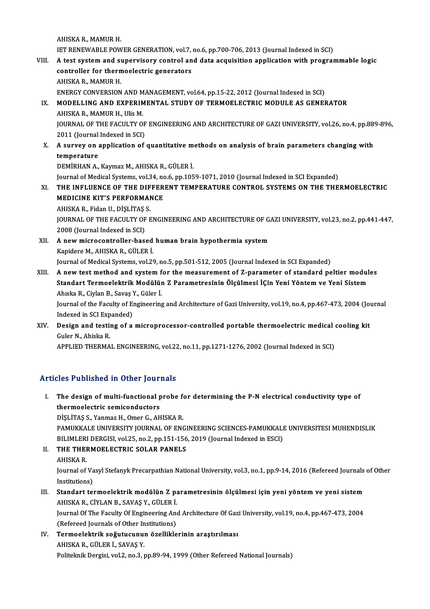AHISKA R., MAMUR H. AHISKA R., MAMUR H.<br>IET RENEWABLE POWER GENERATION, vol.7, no.6, pp.700-706, 2013 (Journal Indexed in SCI)<br>A test system and supervisory sentrel and data assuisition annisotion with program AHISKA R., MAMUR H.<br>IET RENEWABLE POWER GENERATION, vol.7, no.6, pp.700-706, 2013 (Journal Indexed in SCI)<br>VIII. A test system and supervisory control and data acquisition application with programmable logic<br>controller for

IET RENEWABLE POWER GENERATION, vol.7,<br>A test system and supervisory control an<br>controller for thermoelectric generators VIII. A test system and supervisory control and data acquisition application with programmable logic controller for thermoelectric generators<br>AHISKA R., MAMUR H. ENERGY CONVERSION AND MANAGEMENT, vol.64, pp.15-22, 2012 (Journal Indexed in SCI) AHISKA R., MAMUR H.<br>ENERGY CONVERSION AND MANAGEMENT, vol.64, pp.15-22, 2012 (Journal Indexed in SCI)<br>IX. MODELLING AND EXPERIMENTAL STUDY OF TERMOELECTRIC MODULE AS GENERATOR<br>AHISKA R. MAMUR H. Ulis M

# ENERGY CONVERSION AND M<br>**MODELLING AND EXPERIM<br>AHISKA R., MAMUR H., Ulis M.**<br>JOUPNAL OF THE FACULTY O MODELLING AND EXPERIMENTAL STUDY OF TERMOELECTRIC MODULE AS GENERATOR<br>AHISKA R., MAMUR H., Ulis M.<br>JOURNAL OF THE FACULTY OF ENGINEERING AND ARCHITECTURE OF GAZI UNIVERSITY, vol.26, no.4, pp.889-896,<br>2011 (Journal Indoved AHISKA R., MAMUR H., Ulis M.<br>JOURNAL OF THE FACULTY OF ENGINEERING AND ARCHITECTURE OF GAZI UNIVERSITY, vol.26, no.4, pp.889-896,<br>2011 (Journal Indexed in SCI) JOURNAL OF THE FACULTY OF ENGINEERING AND ARCHITECTURE OF GAZI UNIVERSITY, vol.26, no.4, pp.88<br>2011 (Journal Indexed in SCI)<br>X. A survey on application of quantitative methods on analysis of brain parameters changing with<br>

# 2011 (Journal<br>**A survey on :<br>temperature**<br>DEMIPHAN A A survey on application of quantitative m<br>temperature<br>DEMİRHAN A., Kaymaz M., AHISKA R., GÜLER İ.<br>Journal of Medical Systems val 24. no 6. nn 105

te<mark>mperature</mark><br>DEMİRHAN A., Kaymaz M., AHISKA R., GÜLER İ.<br>Journal of Medical Systems, vol.34, no.6, pp.1059-1071, 2010 (Journal Indexed in SCI Expanded)<br>THE INELUENCE OF THE DIEFFRENT TEMPERATURE CONTROL, SYSTEMS ON THE TH

DEMİRHAN A., Kaymaz M., AHISKA R., GÜLER İ.<br>Journal of Medical Systems, vol.34, no.6, pp.1059-1071, 2010 (Journal Indexed in SCI Expanded)<br>XI. THE INFLUENCE OF THE DIFFERENT TEMPERATURE CONTROL SYSTEMS ON THE THERMOELE Journal of Medical Systems, vol.34, no<br>THE INFLUENCE OF THE DIFFER<br>MEDICINE KIT'S PERFORMANCE<br>AHISKA B. Fiden II, Dist ITAS S THE INFLUENCE OF THE DIF<br>MEDICINE KIT'S PERFORMAI<br>AHISKA R., Fidan U., DİŞLİTAŞ S.<br>JOUPNAL OF THE FACULTY OF E MEDICINE KIT'S PERFORMANCE<br>AHISKA R., Fidan U., DİŞLİTAŞ S.<br>JOURNAL OF THE FACULTY OF ENGINEERING AND ARCHITECTURE OF GAZI UNIVERSITY, vol.23, no.2, pp.441-447,<br>2008 (Journal Indexed in SCI) AHISKA R., Fidan U., DISLITAS S. JOURNAL OF THE FACULTY OF ENGINEERING AND ARCHITECTURE OF G.<br>2008 (Journal Indexed in SCI)<br>XII. A new microcontroller-based human brain hypothermia system<br>Konidare M. AHISKA P. CÜLER İ.

2008 (Journal Indexed in SCI)<br>**A new microcontroller-based**<br>Kapidere M., AHISKA R., GÜLER İ.<br>Journal of Medical Systems, val 24 Kapidere M., AHISKA R., GÜLER İ.<br>Journal of Medical Systems, vol.29, no.5, pp.501-512, 2005 (Journal Indexed in SCI Expanded)

Kapidere M., AHISKA R., GÜLER İ.<br>Journal of Medical Systems, vol.29, no.5, pp.501-512, 2005 (Journal Indexed in SCI Expanded)<br>XIII. A new test method and system for the measurement of Z-parameter of standard peltier mo Journal of Medical Systems, vol.29, no.5, pp.501-512, 2005 (Journal Indexed in SCI Expanded)<br>A new test method and system for the measurement of Z-parameter of standard peltier modul<br>Standart Termoelektrik Modülün Z Parame A new test method and system f<br>Standart Termoelektrik Modülür<br>Ahıska R., Ciylan B., Savaş Y., Güler İ.<br>Journal of the Faculty of Engineering Standart Termoelektrik Modülün Z Parametresinin Ölçülmesi İÇin Yeni Yöntem ve Yeni Sistem<br>Ahıska R., Ciylan B., Savaş Y., Güler İ.<br>Journal of the Faculty of Engineering and Architecture of Gazi University, vol.19, no.4, pp

Journal of the Faculty of Engineering and Architecture of Gazi University, vol.19, no.4, pp.467-473, 2004 (Journal Journal of the Faculty of Engineering and Architecture of Gazi University, vol.19, no.4, pp.467-473, 2004 (Journal cooling Indexed in SCI Expanded)<br>XIV. Design and testing of a microprocessor-controlled portable thermoelec

Indexed in SCI Exp<br>Design and testin<br>Guler N., Ahiska R.<br>APPLIED TUEPMA Design and testing of a microprocessor-controlled portable thermoelectric medical (<br>Guler N., Ahiska R.<br>APPLIED THERMAL ENGINEERING, vol.22, no.11, pp.1271-1276, 2002 (Journal Indexed in SCI)

APPLIED THERMAL ENGINEERING, vol.22, no.11, pp.1271-1276, 2002 (Journal Indexed in SCI)<br>Articles Published in Other Journals

rticles Published in Other Journals<br>I. The design of multi-functional probe for determining the P-N electrical conductivity type of<br>thermeclestric comiconductors The design of multi-functional p<br>thermoelectric semiconductors<br>pist itas s. Yanmaz H. Omar C. All thermoelectric semiconductors<br>DİŞLİTAŞ S., Yanmaz H., Omer G., AHISKA R.

PAMUKKALE UNIVERSITY JOURNAL OF ENGINEERING SCIENCES-PAMUKKALE UNIVERSITESI MUHENDISLIK DİŞLİTAŞ S., Yanmaz H., Omer G., AHISKA R.<br>PAMUKKALE UNIVERSITY JOURNAL OF ENGINEERING SCIENCES-PAMUKKALI<br>BILIMLERI DERGISI, vol.25, no.2, pp.151-156, 2019 (Journal Indexed in ESCI)<br>THE THEPMOEL ECTRIC SOLAR RANELS PAMUKKALE UNIVERSITY JOURNAL OF ENG<br>BILIMLERI DERGISI, vol.25, no.2, pp.151-156<br>II. THE THERMOELECTRIC SOLAR PANELS BILIMLERI<br>THE THEI<br>AHISKA R.<br>Journal of

THE THERMOELECTRIC SOLAR PANELS<br>AHISKA R.<br>Journal of Vasyl Stefanyk Precarpathian National University, vol.3, no.1, pp.9-14, 2016 (Refereed Journals of Other<br>Institutions) AHISKA R.<br>Journal of Va<br>Institutions)<br>Standart tal Journal of Vasyl Stefanyk Precarpathian National University, vol.3, no.1, pp.9-14, 2016 (Refereed Journals<br>Institutions)<br>III. Standart termoelektrik modülün Z parametresinin ölçülmesi için yeni yöntem ve yeni sistem<br>AUISMA

# Institutions)<br>Standart termoelektrik modülün Z pa<br>AHISKA R., CİYLAN B., SAVAŞ Y., GÜLER İ.<br>Journal Of The Fegulty Of Engineering Ana Standart termoelektrik modülün Z parametresinin ölçülmesi için yeni yöntem ve yeni sistem<br>AHISKA R., CİYLAN B., SAVAŞ Y., GÜLER İ.<br>Journal Of The Faculty Of Engineering And Architecture Of Gazi University, vol.19, no.4, pp

AHISKA R., CİYLAN B., SAVAŞ Y., GÜLER İ.<br>Journal Of The Faculty Of Engineering And Architecture Of Gazi University, vol.19, no.4, pp.467-473, 2004<br>(Refereed Journals of Other Institutions) Journal Of The Faculty Of Engineering And Architecture Of Gaz<br>(Refereed Journals of Other Institutions)<br>IV. Termoelektrik soğutucunun özelliklerinin araştırılması<br>AHISKA B. CÜLEBİ SAVAS Y

(Refereed Journals of Other In<br>Termoelektrik soğutucunu<br>AHISKA R., GÜLER İ., SAVAŞ Y.<br>Pelitelmik Devzisi vel 3, no.3, r AHISKA R., GÜLER İ., SAVAŞ Y.<br>Politeknik Dergisi, vol.2, no.3, pp.89-94, 1999 (Other Refereed National Journals)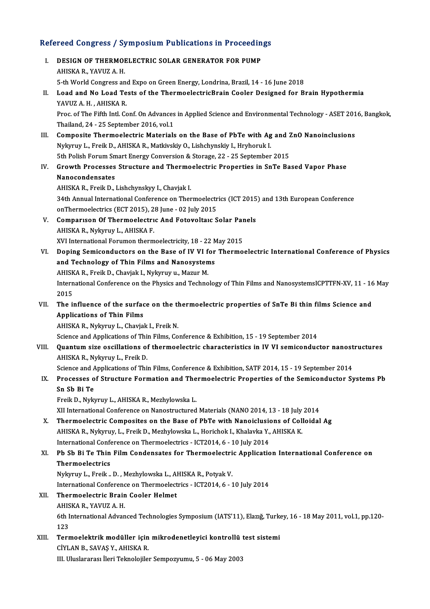# Refereed Congress / Symposium Publications in Proceedings<br>Refereed Congress / Symposium Publications in Proceedings

| Refereed Congress / Symposium Publications in Proceedings |                                                                                                                                                             |
|-----------------------------------------------------------|-------------------------------------------------------------------------------------------------------------------------------------------------------------|
| Ι.                                                        | DESIGN OF THERMOELECTRIC SOLAR GENERATOR FOR PUMP<br>AHISKA R., YAVUZ A.H.                                                                                  |
|                                                           | 5-th World Congress and Expo on Green Energy, Londrina, Brazil, 14 - 16 June 2018                                                                           |
| П.                                                        | Load and No Load Tests of the ThermoelectricBrain Cooler Designed for Brain Hypothermia<br>YAVUZ A.H., AHISKA R.                                            |
|                                                           | Proc. of The Fifth Intl. Conf. On Advances in Applied Science and Environmental Technology - ASET 2016, Bangkok,<br>Thailand, 24 - 25 September 2016, vol.1 |
| III.                                                      | Composite Thermoelectric Materials on the Base of PbTe with Ag and ZnO Nanoinclusions                                                                       |
|                                                           | Nykyruy L., Freik D., AHISKA R., Matkivskiy O., Lishchynskiy I., Hryhoruk I.                                                                                |
|                                                           | 5th Polish Forum Smart Energy Conversion & Storage, 22 - 25 September 2015                                                                                  |
| IV.                                                       | Growth Processes Structure and Thermoelectric Properties in SnTe Based Vapor Phase                                                                          |
|                                                           | Nanocondensates                                                                                                                                             |
|                                                           | AHISKA R., Freik D., Lishchynskyy I., Chavjak I.                                                                                                            |
|                                                           | 34th Annual International Conference on Thermoelectrics (ICT 2015) and 13th European Conference                                                             |
|                                                           | onThermoelectrics (ECT 2015), 28 June - 02 July 2015                                                                                                        |
| V.                                                        | Comparison Of Thermoelectric And Fotovoltaic Solar Panels                                                                                                   |
|                                                           | AHISKA R., Nykyruy L., AHISKA F.                                                                                                                            |
|                                                           | XVI International Forumon thermoelectricity, 18 - 22 May 2015                                                                                               |
| VI.                                                       | Doping Semiconductors on the Base of IV VI for Thermoelectric International Conference of Physics                                                           |
|                                                           | and Technology of Thin Films and Nanosystems                                                                                                                |
|                                                           | AHISKA R., Freik D., Chavjak I., Nykyruy u., Mazur M.                                                                                                       |
|                                                           | International Conference on the Physics and Technology of Thin Films and NanosystemsICPTTFN-XV, 11 - 16 May<br>2015                                         |
| VII.                                                      | The influence of the surface on the thermoelectric properties of SnTe Bi thin films Science and                                                             |
|                                                           | <b>Applications of Thin Films</b>                                                                                                                           |
|                                                           | AHISKA R., Nykyruy L., Chavjak I., Freik N.                                                                                                                 |
|                                                           | Science and Applications of Thin Films, Conference & Exhibition, 15 - 19 September 2014                                                                     |
| VIII.                                                     | Quantum size oscillations of thermoelectric characteristics in IV VI semiconductor nanostructures<br>AHISKA R., Nykyruy L., Freik D.                        |
|                                                           | Science and Applications of Thin Films, Conference & Exhibition, SATF 2014, 15 - 19 September 2014                                                          |
| IX.                                                       | Processes of Structure Formation and Thermoelectric Properties of the Semiconductor Systems Pb<br>Sn Sb Bi Te                                               |
|                                                           | Freik D., Nykyruy L., AHISKA R., Mezhylowska L.                                                                                                             |
|                                                           | XII International Conference on Nanostructured Materials (NANO 2014, 13 - 18 July 2014                                                                      |
| X.                                                        | Thermoelectric Composites on the Base of PbTe with Nanoiclusions of Colloidal Ag                                                                            |
|                                                           | AHISKA R., Nykyruy, L., Freik D., Mezhylowska L., Horichok I., Khalavka Y., AHISKA K.                                                                       |
|                                                           | International Conference on Thermoelectrics - ICT2014, 6 - 10 July 2014                                                                                     |
| XI.                                                       | Pb Sb Bi Te Thin Film Condensates for Thermoelectric Application International Conference on                                                                |
|                                                           | Thermoelectrics                                                                                                                                             |
|                                                           | Nykyruy L., Freik . D., Mezhylowska L., AHISKA R., Potyak V.                                                                                                |
|                                                           | International Conference on Thermoelectrics - ICT2014, 6 - 10 July 2014                                                                                     |
| XII.<br>XIII.                                             | Thermoelectric Brain Cooler Helmet                                                                                                                          |
|                                                           | AHISKA R., YAVUZ A.H.                                                                                                                                       |
|                                                           | 6th International Advanced Technologies Symposium (IATS'11), Elazığ, Turkey, 16 - 18 May 2011, vol.1, pp.120-                                               |
|                                                           | 123                                                                                                                                                         |
|                                                           | Termoelektrik modüller için mikrodenetleyici kontrollü test sistemi<br>CİYLAN B., SAVAŞ Y., AHISKA R.                                                       |
|                                                           | III. Uluslararası İleri Teknolojiler Sempozyumu, 5 - 06 May 2003                                                                                            |